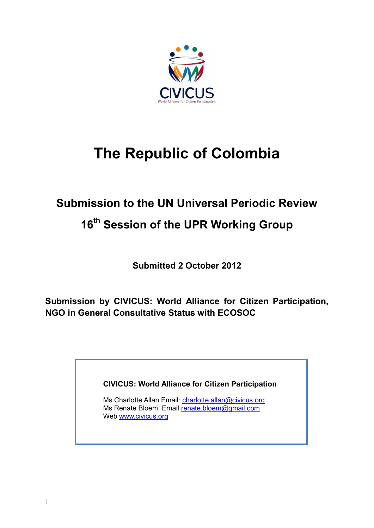

# **The Republic of Colombia**

## **Submission to the UN Universal Periodic Review**

### **16 th Session of the UPR Working Group**

**Submitted 2 October 2012**

**Submission by CIVICUS: World Alliance for Citizen Participation, NGO in General Consultative Status with ECOSOC** 

**CIVICUS: World Alliance for Citizen Participation**

Ms Charlotte Allan Email: [charlotte.allan@civicus.org](mailto:charlotte.allan@civicus.org) Ms Renate Bloem, Email [renate.bloem@gmail.com](mailto:renate.bloem@gmail.com) Web [www.civicus.org](http://www.civicus.org/)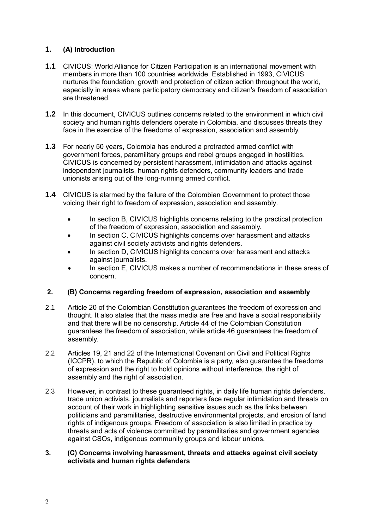### **1. (A) Introduction**

- **1.1** CIVICUS: World Alliance for Citizen Participation is an international movement with members in more than 100 countries worldwide. Established in 1993, CIVICUS nurtures the foundation, growth and protection of citizen action throughout the world, especially in areas where participatory democracy and citizen's freedom of association are threatened.
- **1.2** In this document, CIVICUS outlines concerns related to the environment in which civil society and human rights defenders operate in Colombia, and discusses threats they face in the exercise of the freedoms of expression, association and assembly.
- **1.3** For nearly 50 years, Colombia has endured a protracted armed conflict with government forces, paramilitary groups and rebel groups engaged in hostilities. CIVICUS is concerned by persistent harassment, intimidation and attacks against independent journalists, human rights defenders, community leaders and trade unionists arising out of the long-running armed conflict.
- **1.4** CIVICUS is alarmed by the failure of the Colombian Government to protect those voicing their right to freedom of expression, association and assembly.
	- In section B, CIVICUS highlights concerns relating to the practical protection of the freedom of expression, association and assembly.
	- In section C, CIVICUS highlights concerns over harassment and attacks against civil society activists and rights defenders.
	- In section D, CIVICUS highlights concerns over harassment and attacks against journalists.
	- In section E, CIVICUS makes a number of recommendations in these areas of concern.

#### **2. (B) Concerns regarding freedom of expression, association and assembly**

- 2.1 Article 20 of the Colombian Constitution guarantees the freedom of expression and thought. It also states that the mass media are free and have a social responsibility and that there will be no censorship. Article 44 of the Colombian Constitution guarantees the freedom of association, while article 46 guarantees the freedom of assembly.
- 2.2 Articles 19, 21 and 22 of the International Covenant on Civil and Political Rights (ICCPR), to which the Republic of Colombia is a party, also guarantee the freedoms of expression and the right to hold opinions without interference, the right of assembly and the right of association.
- 2.3 However, in contrast to these guaranteed rights, in daily life human rights defenders, trade union activists, journalists and reporters face regular intimidation and threats on account of their work in highlighting sensitive issues such as the links between politicians and paramilitaries, destructive environmental projects, and erosion of land rights of indigenous groups. Freedom of association is also limited in practice by threats and acts of violence committed by paramilitaries and government agencies against CSOs, indigenous community groups and labour unions.

#### **3. (C) Concerns involving harassment, threats and attacks against civil society activists and human rights defenders**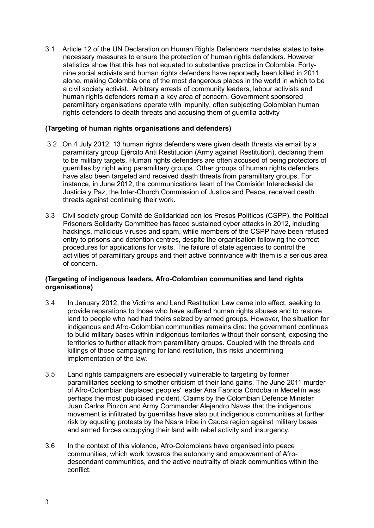3.1 Article 12 of the UN Declaration on Human Rights Defenders mandates states to take necessary measures to ensure the protection of human rights defenders. However statistics show that this has not equated to substantive practice in Colombia. Fortynine social activists and human rights defenders have reportedly been killed in 2011 alone, making Colombia one of the most dangerous places in the world in which to be a civil society activist. Arbitrary arrests of community leaders, labour activists and human rights defenders remain a key area of concern. Government sponsored paramilitary organisations operate with impunity, often subjecting Colombian human rights defenders to death threats and accusing them of guerrilla activity

#### **(Targeting of human rights organisations and defenders)**

- 3.2 On 4 July 2012, 13 human rights defenders were given death threats via email by a paramilitary group Ejército Anti Restitución (Army against Restitution), declaring them to be military targets. Human rights defenders are often accused of being protectors of guerrillas by right wing paramilitary groups. Other groups of human rights defenders have also been targeted and received death threats from paramilitary groups. For instance, in June 2012, the communications team of the Comisión Intereclesial de Justicia y Paz, the Inter-Church Commission of Justice and Peace, received death threats against continuing their work.
- 3.3 Civil society group Comité de Solidaridad con los Presos Políticos (CSPP), the Political Prisoners Solidarity Committee has faced sustained cyber attacks in 2012, including hackings, malicious viruses and spam, while members of the CSPP have been refused entry to prisons and detention centres, despite the organisation following the correct procedures for applications for visits. The failure of state agencies to control the activities of paramilitary groups and their active connivance with them is a serious area of concern.

#### **(Targeting of indigenous leaders, Afro-Colombian communities and land rights organisations)**

- 3.4 In January 2012, the Victims and Land Restitution Law came into effect, seeking to provide reparations to those who have suffered human rights abuses and to restore land to people who had had theirs seized by armed groups. However, the situation for indigenous and Afro-Colombian communities remains dire: the government continues to build military bases within indigenous territories without their consent, exposing the territories to further attack from paramilitary groups. Coupled with the threats and killings of those campaigning for land restitution, this risks undermining implementation of the law.
- 3.5 Land rights campaigners are especially vulnerable to targeting by former paramilitaries seeking to smother criticism of their land gains. The June 2011 murder of Afro-Colombian displaced peoples' leader Ana Fabricia Córdoba in Medellín was perhaps the most publicised incident. Claims by the Colombian Defence Minister Juan Carlos Pinzón and Army Commander Alejandro Navas that the indigenous movement is infiltrated by guerrillas have also put indigenous communities at further risk by equating protests by the Nasra tribe in Cauca region against military bases and armed forces occupying their land with rebel activity and insurgency.
- 3.6 In the context of this violence, Afro-Colombians have organised into peace communities, which work towards the autonomy and empowerment of Afrodescendant communities, and the active neutrality of black communities within the conflict.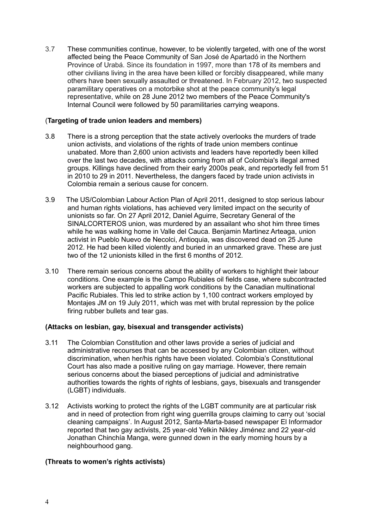3.7 These communities continue, however, to be violently targeted, with one of the worst affected being the Peace Community of San José de Apartadó in the Northern Province of Urabá. Since its foundation in 1997, more than 178 of its members and other civilians living in the area have been killed or forcibly disappeared, while many others have been sexually assaulted or threatened. In February 2012, two suspected paramilitary operatives on a motorbike shot at the peace community's legal representative, while on 28 June 2012 two members of the Peace Community's Internal Council were followed by 50 paramilitaries carrying weapons.

#### (**Targeting of trade union leaders and members)**

- 3.8 There is a strong perception that the state actively overlooks the murders of trade union activists, and violations of the rights of trade union members continue unabated. More than 2,600 union activists and leaders have reportedly been killed over the last two decades, with attacks coming from all of Colombia's illegal armed groups. Killings have declined from their early 2000s peak, and reportedly fell from 51 in 2010 to 29 in 2011. Nevertheless, the dangers faced by trade union activists in Colombia remain a serious cause for concern.
- 3.9 The US/Colombian Labour Action Plan of April 2011, designed to stop serious labour and human rights violations, has achieved very limited impact on the security of unionists so far. On 27 April 2012, Daniel Aguirre, Secretary General of the SINALCORTEROS union, was murdered by an assailant who shot him three times while he was walking home in Valle del Cauca. Benjamin Martinez Arteaga, union activist in Pueblo Nuevo de Necolci, Antioquia, was discovered dead on 25 June 2012. He had been killed violently and buried in an unmarked grave. These are just two of the 12 unionists killed in the first 6 months of 2012.
- 3.10 There remain serious concerns about the ability of workers to highlight their labour conditions. One example is the Campo Rubiales oil fields case, where subcontracted workers are subjected to appalling work conditions by the Canadian multinational Pacific Rubiales. This led to strike action by 1,100 contract workers employed by Montajes JM on 19 July 2011, which was met with brutal repression by the police firing rubber bullets and tear gas.

#### **(Attacks on lesbian, gay, bisexual and transgender activists)**

- 3.11 The Colombian Constitution and other laws provide a series of judicial and administrative recourses that can be accessed by any Colombian citizen, without discrimination, when her/his rights have been violated. Colombia's Constitutional Court has also made a positive ruling on gay marriage. However, there remain serious concerns about the biased perceptions of judicial and administrative authorities towards the rights of rights of lesbians, gays, bisexuals and transgender (LGBT) individuals.
- 3.12 Activists working to protect the rights of the LGBT community are at particular risk and in need of protection from right wing guerrilla groups claiming to carry out 'social cleaning campaigns'. In August 2012, Santa-Marta-based newspaper El Informador reported that two gay activists, 25 year-old Yelkin Nikley Jiménez and 22 year-old Jonathan Chinchía Manga, were gunned down in the early morning hours by a neighbourhood gang.

#### **(Threats to women's rights activists)**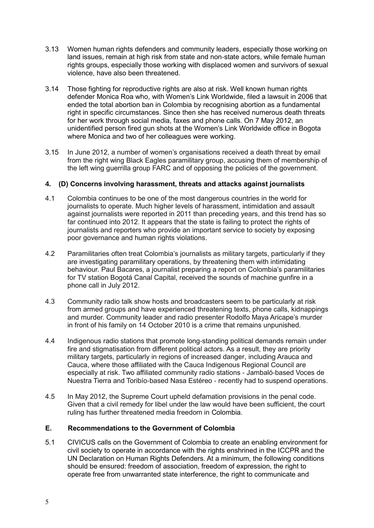- 3.13 Women human rights defenders and community leaders, especially those working on land issues, remain at high risk from state and non-state actors, while female human rights groups, especially those working with displaced women and survivors of sexual violence, have also been threatened.
- 3.14 Those fighting for reproductive rights are also at risk. Well known human rights defender Monica Roa who, with Women's Link Worldwide, filed a lawsuit in 2006 that ended the total abortion ban in Colombia by recognising abortion as a fundamental right in specific circumstances. Since then she has received numerous death threats for her work through social media, faxes and phone calls. On 7 May 2012, an unidentified person fired gun shots at the Women's Link Worldwide office in Bogota where Monica and two of her colleagues were working.
- 3.15 In June 2012, a number of women's organisations received a death threat by email from the right wing Black Eagles paramilitary group, accusing them of membership of the left wing guerrilla group FARC and of opposing the policies of the government.

#### **4. (D) Concerns involving harassment, threats and attacks against journalists**

- 4.1 Colombia continues to be one of the most dangerous countries in the world for journalists to operate. Much higher levels of harassment, intimidation and assault against journalists were reported in 2011 than preceding years, and this trend has so far continued into 2012. It appears that the state is failing to protect the rights of journalists and reporters who provide an important service to society by exposing poor governance and human rights violations.
- 4.2 Paramilitaries often treat Colombia's journalists as military targets, particularly if they are investigating paramilitary operations, by threatening them with intimidating behaviour. Paul Bacares, a journalist preparing a report on Colombia's paramilitaries for TV station Bogotá Canal Capital, received the sounds of machine gunfire in a phone call in July 2012.
- 4.3 Community radio talk show hosts and broadcasters seem to be particularly at risk from armed groups and have experienced threatening texts, phone calls, kidnappings and murder. Community leader and radio presenter Rodolfo Maya Aricape's murder in front of his family on 14 October 2010 is a crime that remains unpunished.
- 4.4 Indigenous radio stations that promote long-standing political demands remain under fire and stigmatisation from different political actors. As a result, they are priority military targets, particularly in regions of increased danger, including Arauca and Cauca, where those affiliated with the Cauca Indigenous Regional Council are especially at risk. Two affiliated community radio stations - Jambaló-based Voces de Nuestra Tierra and Toribío-based Nasa Estéreo - recently had to suspend operations.
- 4.5 In May 2012, the Supreme Court upheld defamation provisions in the penal code. Given that a civil remedy for libel under the law would have been sufficient, the court ruling has further threatened media freedom in Colombia.

#### **E. Recommendations to the Government of Colombia**

5.1 CIVICUS calls on the Government of Colombia to create an enabling environment for civil society to operate in accordance with the rights enshrined in the ICCPR and the UN Declaration on Human Rights Defenders. At a minimum, the following conditions should be ensured: freedom of association, freedom of expression, the right to operate free from unwarranted state interference, the right to communicate and